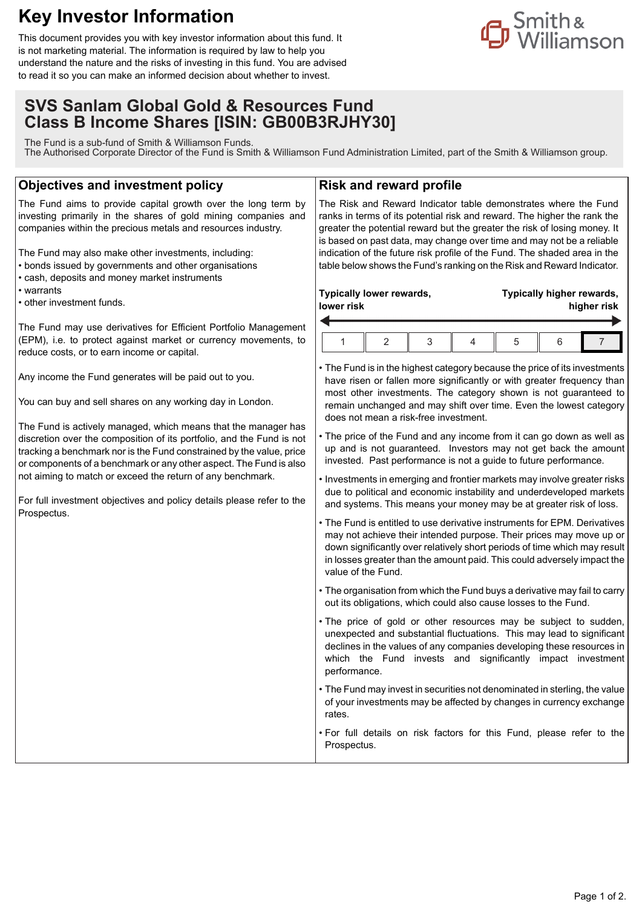## **Key Investor Information**

This document provides you with key investor information about this fund. It is not marketing material. The information is required by law to help you understand the nature and the risks of investing in this fund. You are advised to read it so you can make an informed decision about whether to invest.

# <mark>n</mark> Smith<br>Suilliamson<br>Suilliamson

### **SVS Sanlam Global Gold & Resources Fund Class B Income Shares [ISIN: GB00B3RJHY30]**

The Fund is a sub-fund of Smith & Williamson Funds. The Authorised Corporate Director of the Fund is Smith & Williamson Fund Administration Limited, part of the Smith & Williamson group.

#### **Objectives and investment policy**

The Fund aims to provide capital growth over the long term by investing primarily in the shares of gold mining companies and companies within the precious metals and resources industry.

The Fund may also make other investments, including:

- bonds issued by governments and other organisations
- cash, deposits and money market instruments
- warrants

• other investment funds.

The Fund may use derivatives for Efficient Portfolio Management (EPM), i.e. to protect against market or currency movements, to reduce costs, or to earn income or capital.

Any income the Fund generates will be paid out to you.

You can buy and sell shares on any working day in London.

The Fund is actively managed, which means that the manager has discretion over the composition of its portfolio, and the Fund is not tracking a benchmark nor is the Fund constrained by the value, price or components of a benchmark or any other aspect. The Fund is also not aiming to match or exceed the return of any benchmark.

For full investment objectives and policy details please refer to the Prospectus.

#### **Risk and reward profile**

The Risk and Reward Indicator table demonstrates where the Fund ranks in terms of its potential risk and reward. The higher the rank the greater the potential reward but the greater the risk of losing money. It is based on past data, may change over time and may not be a reliable indication of the future risk profile of the Fund. The shaded area in the table below shows the Fund's ranking on the Risk and Reward Indicator.

#### **Typically lower rewards, lower risk**

**Typically higher rewards, higher risk**

• The Fund is in the highest category because the price of its investments have risen or fallen more significantly or with greater frequency than most other investments. The category shown is not guaranteed to remain unchanged and may shift over time. Even the lowest category does not mean a risk-free investment.

- The price of the Fund and any income from it can go down as well as up and is not guaranteed. Investors may not get back the amount invested. Past performance is not a guide to future performance.
- Investments in emerging and frontier markets may involve greater risks due to political and economic instability and underdeveloped markets and systems. This means your money may be at greater risk of loss.
- The Fund is entitled to use derivative instruments for EPM. Derivatives may not achieve their intended purpose. Their prices may move up or down significantly over relatively short periods of time which may result in losses greater than the amount paid. This could adversely impact the value of the Fund.
- The organisation from which the Fund buys a derivative may fail to carry out its obligations, which could also cause losses to the Fund.
- The price of gold or other resources may be subject to sudden, unexpected and substantial fluctuations. This may lead to significant declines in the values of any companies developing these resources in which the Fund invests and significantly impact investment performance.
- The Fund may invest in securities not denominated in sterling, the value of your investments may be affected by changes in currency exchange rates.
- For full details on risk factors for this Fund, please refer to the Prospectus.